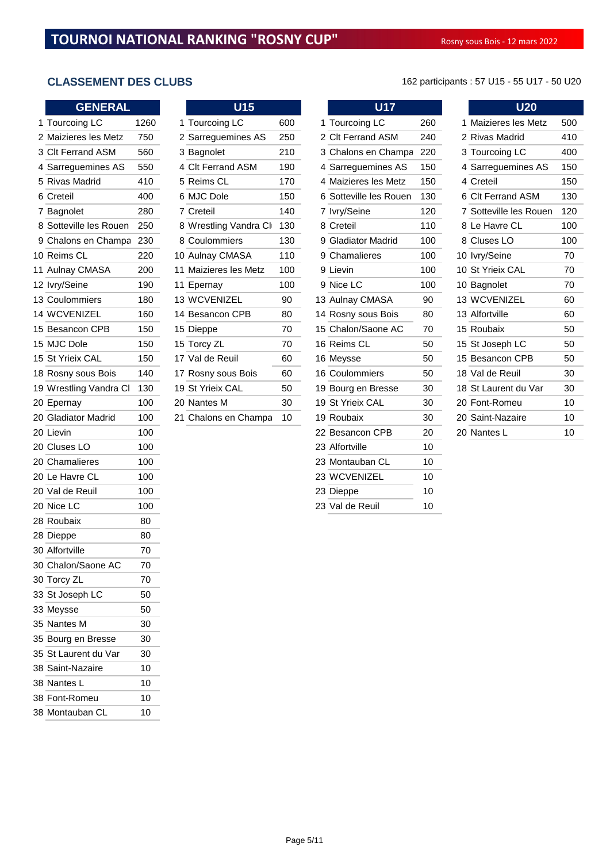| <b>GENERAL</b>         |      | U15                   |     | <b>U17</b>             |     | <b>U20</b>             |                 |
|------------------------|------|-----------------------|-----|------------------------|-----|------------------------|-----------------|
| 1 Tourcoing LC         | 1260 | 1 Tourcoing LC        | 600 | 1 Tourcoing LC         | 260 | 1 Maizieres les Metz   | 50              |
| 2 Maizieres les Metz   | 750  | 2 Sarreguemines AS    | 250 | 2 Clt Ferrand ASM      | 240 | 2 Rivas Madrid         | 41(             |
| 3 Clt Ferrand ASM      | 560  | 3 Bagnolet            | 210 | 3 Chalons en Champa    | 220 | 3 Tourcoing LC         | 40              |
| 4 Sarreguemines AS     | 550  | 4 Clt Ferrand ASM     | 190 | 4 Sarreguemines AS     | 150 | 4 Sarreguemines AS     | 15 <sub>0</sub> |
| 5 Rivas Madrid         | 410  | 5 Reims CL            | 170 | 4 Maizieres les Metz   | 150 | 4 Creteil              | 15 <sub>0</sub> |
| 6 Creteil              | 400  | 6 MJC Dole            | 150 | 6 Sotteville les Rouen | 130 | 6 Clt Ferrand ASM      | 13 <sub>0</sub> |
| 7 Bagnolet             | 280  | 7 Creteil             | 140 | 7 lvry/Seine           | 120 | 7 Sotteville les Rouen | 12 <sub>0</sub> |
| 8 Sotteville les Rouen | 250  | 8 Wrestling Vandra Cl | 130 | 8 Creteil              | 110 | 8 Le Havre CL          | 10 <sub>0</sub> |
| 9 Chalons en Champa    | 230  | 8 Coulommiers         | 130 | 9 Gladiator Madrid     | 100 | 8 Cluses LO            | 10 <sub>0</sub> |
| 10 Reims CL            | 220  | 10 Aulnay CMASA       | 110 | 9 Chamalieres          | 100 | 10 Ivry/Seine          | 70              |
| 11 Aulnay CMASA        | 200  | 11 Maizieres les Metz | 100 | 9 Lievin               | 100 | 10 St Yrieix CAL       | 70              |
| 12 Ivry/Seine          | 190  | 11 Epernay            | 100 | 9 Nice LC              | 100 | 10 Bagnolet            | 70              |
| 13 Coulommiers         | 180  | 13 WCVENIZEL          | 90  | 13 Aulnay CMASA        | 90  | 13 WCVENIZEL           | 60              |
| 14 WCVENIZEL           | 160  | 14 Besancon CPB       | 80  | 14 Rosny sous Bois     | 80  | 13 Alfortville         | 60              |
| 15 Besancon CPB        | 150  | 15 Dieppe             | 70  | 15 Chalon/Saone AC     | 70  | 15 Roubaix             | 50              |
| 15 MJC Dole            | 150  | 15 Torcy ZL           | 70  | 16 Reims CL            | 50  | 15 St Joseph LC        | 50              |
| 15 St Yrieix CAL       | 150  | 17 Val de Reuil       | 60  | 16 Meysse              | 50  | 15 Besancon CPB        | 50              |
| 18 Rosny sous Bois     | 140  | 17 Rosny sous Bois    | 60  | 16 Coulommiers         | 50  | 18 Val de Reuil        | 3 <sub>C</sub>  |
| 19 Wrestling Vandra Cl | 130  | 19 St Yrieix CAL      | 50  | 19 Bourg en Bresse     | 30  | 18 St Laurent du Var   | 30              |
| 20 Epernay             | 100  | 20 Nantes M           | 30  | 19 St Yrieix CAL       | 30  | 20 Font-Romeu          | 10              |
| 20 Gladiator Madrid    | 100  | 21 Chalons en Champa  | 10  | 19 Roubaix             | 30  | 20 Saint-Nazaire       | 10              |
| 20 Lievin              | 100  |                       |     | 22 Besancon CPB        | 20  | 20 Nantes L            | 10              |
| 20 Cluses LO           | 100  |                       |     | 23 Alfortville         | 10  |                        |                 |
| 20 Chamalieres         | 100  |                       |     | 23 Montauban CL        | 10  |                        |                 |
| 20 Le Havre CL         | 100  |                       |     | 23 WCVENIZEL           | 10  |                        |                 |
| 20 Val de Reuil        | 100  |                       |     | 23 Dieppe              | 10  |                        |                 |
| 20 Nice LC             | 100  |                       |     | 23 Val de Reuil        | 10  |                        |                 |
| 28 Roubaix             | 80   |                       |     |                        |     |                        |                 |
| 28 Dieppe              | 80   |                       |     |                        |     |                        |                 |
| 30 Alfortville         | 70   |                       |     |                        |     |                        |                 |
| 30 Chalon/Saone AC     | 70   |                       |     |                        |     |                        |                 |
| 30 Torcy ZL            | 70   |                       |     |                        |     |                        |                 |
| 33 St Joseph LC        | 50   |                       |     |                        |     |                        |                 |
| 33 Meysse              | 50   |                       |     |                        |     |                        |                 |
| 35 Nantes M            | 30   |                       |     |                        |     |                        |                 |
| 35 Bourg en Bresse     | 30   |                       |     |                        |     |                        |                 |
| 35 St Laurent du Var   | 30   |                       |     |                        |     |                        |                 |
| 38 Saint-Nazaire       | 10   |                       |     |                        |     |                        |                 |
| 38 Nantes L            | 10   |                       |     |                        |     |                        |                 |
| 38 Font-Romeu          | 10   |                       |     |                        |     |                        |                 |
| 38 Montauban CL        | 10   |                       |     |                        |     |                        |                 |

| <b>GENERAL</b>         |      |    | U15                   |     | <b>U17</b>             |     | <b>U20</b>             |                 |
|------------------------|------|----|-----------------------|-----|------------------------|-----|------------------------|-----------------|
| 1 Tourcoing LC         | 1260 |    | 1 Tourcoing LC        | 600 | 1 Tourcoing LC         | 260 | 1 Maizieres les Metz   | 50 <sub>C</sub> |
| 2 Maizieres les Metz   | 750  |    | 2 Sarreguemines AS    | 250 | 2 Clt Ferrand ASM      | 240 | 2 Rivas Madrid         | 41 <sub>C</sub> |
| 3 Clt Ferrand ASM      | 560  |    | 3 Bagnolet            | 210 | 3 Chalons en Champa    | 220 | 3 Tourcoing LC         | 40 <sub>C</sub> |
| 4 Sarreguemines AS     | 550  |    | 4 Clt Ferrand ASM     | 190 | 4 Sarreguemines AS     | 150 | 4 Sarreguemines AS     | 150             |
| 5 Rivas Madrid         | 410  |    | 5 Reims CL            | 170 | 4 Maizieres les Metz   | 150 | 4 Creteil              | 15 <sub>C</sub> |
| 6 Creteil              | 400  |    | 6 MJC Dole            | 150 | 6 Sotteville les Rouen | 130 | 6 Clt Ferrand ASM      | 130             |
| 7 Bagnolet             | 280  |    | 7 Creteil             | 140 | 7 Ivry/Seine           | 120 | 7 Sotteville les Rouen | 120             |
| 8 Sotteville les Rouen | 250  |    | 8 Wrestling Vandra Cl | 130 | 8 Creteil              | 110 | 8 Le Havre CL          | 10 <sub>C</sub> |
| 9 Chalons en Champa    | 230  |    | 8 Coulommiers         | 130 | 9 Gladiator Madrid     | 100 | 8 Cluses LO            | 10 <sub>C</sub> |
| 0 Reims CL             | 220  |    | 10 Aulnay CMASA       | 110 | 9 Chamalieres          | 100 | 10 lvry/Seine          | 70              |
| 1 Aulnay CMASA         | 200  |    | 11 Maizieres les Metz | 100 | 9 Lievin               | 100 | 10 St Yrieix CAL       | 70              |
| 2 Ivry/Seine           | 190  |    | 11 Epernay            | 100 | 9 Nice LC              | 100 | 10 Bagnolet            | 70              |
| 3 Coulommiers          | 180  |    | <b>13 WCVENIZEL</b>   | 90  | 13 Aulnay CMASA        | 90  | <b>13 WCVENIZEL</b>    | 60              |
| <b>4 WCVENIZEL</b>     | 160  |    | 14 Besancon CPB       | 80  | 14 Rosny sous Bois     | 80  | 13 Alfortville         | 60              |
| 5 Besancon CPB         | 150  |    | 15 Dieppe             | 70  | 15 Chalon/Saone AC     | 70  | 15 Roubaix             | 50              |
| 5 MJC Dole             | 150  |    | 15 Torcy ZL           | 70  | 16 Reims CL            | 50  | 15 St Joseph LC        | 50              |
| 5 St Yrieix CAL        | 150  |    | 17 Val de Reuil       | 60  | 16 Meysse              | 50  | 15 Besancon CPB        | 50              |
| 8 Rosny sous Bois      | 140  |    | 17 Rosny sous Bois    | 60  | 16 Coulommiers         | 50  | 18 Val de Reuil        | 30              |
| 9 Wrestling Vandra Cl  | 130  |    | 19 St Yrieix CAL      | 50  | 19 Bourg en Bresse     | 30  | 18 St Laurent du Var   | 30              |
| 0 Epernay              | 100  |    | 20 Nantes M           | 30  | 19 St Yrieix CAL       | 30  | 20 Font-Romeu          | 10              |
| 0 Gladiator Madrid     | 100  | 21 | Chalons en Champa     | 10  | 19 Roubaix             | 30  | 20 Saint-Nazaire       | 10              |
|                        |      |    |                       |     |                        |     |                        |                 |

| <b>U17</b>             |     |
|------------------------|-----|
| 1 Tourcoing LC         | 260 |
| 2 Clt Ferrand ASM      | 240 |
| 3 Chalons en Champa    | 220 |
| 4 Sarreguemines AS     | 150 |
| 4 Maizieres les Metz   | 150 |
| 6 Sotteville les Rouen | 130 |
| 7 Ivry/Seine           | 120 |
| 8 Creteil              | 110 |
| 9 Gladiator Madrid     | 100 |
| 9 Chamalieres          | 100 |
| 9 Lievin               | 100 |
| 9 Nice LC              | 100 |
| 13 Aulnay CMASA        | 90  |
| 14 Rosny sous Bois     | 80  |
| 15 Chalon/Saone AC     | 70  |
| 16 Reims CL            | 50  |
| 16 Meysse              | 50  |
| 16 Coulommiers         | 50  |
| 19 Bourg en Bresse     | 30  |
| 19 St Yrieix CAL       | 30  |
| 19 Roubaix             | 30  |
| 22 Besancon CPB        | 20  |
| 23 Alfortville         | 10  |
| 23 Montauban CL        | 10  |
| 23 WCVENIZEL           | 10  |
| 23 Dieppe              | 10  |
| 23 Val de Reuil        | 10  |

**CLASSEMENT DES CLUBS** 162 participants : 57 U15 - 55 U17 - 50 U20

| $\overline{\mathsf{U20}}$ |     |
|---------------------------|-----|
| 1 Maizieres les Metz      | 500 |
| 2 Rivas Madrid            | 410 |
| 3 Tourcoing LC            | 400 |
| 4 Sarreguemines AS        | 150 |
| 4 Creteil                 | 150 |
| 6 Clt Ferrand ASM         | 130 |
| 7 Sotteville les Rouen    | 120 |
| 8 Le Havre CL             | 100 |
| 8 Cluses LO               | 100 |
| 10 lvry/Seine             | 70  |
| 10 St Yrieix CAL          | 70  |
| 10 Bagnolet               | 70  |
| 13 WCVENIZEL              | 60  |
| 13 Alfortville            | 60  |
| 15 Roubaix                | 50  |
| 15 St Joseph LC           | 50  |
| 15 Besancon CPB           | 50  |
| 18 Val de Reuil           | 30  |
| 18 St Laurent du Var      | 30  |
| 20 Font-Romeu             | 10  |
| 20 Saint-Nazaire          | 10  |
| 20 Nantes L               | 1 በ |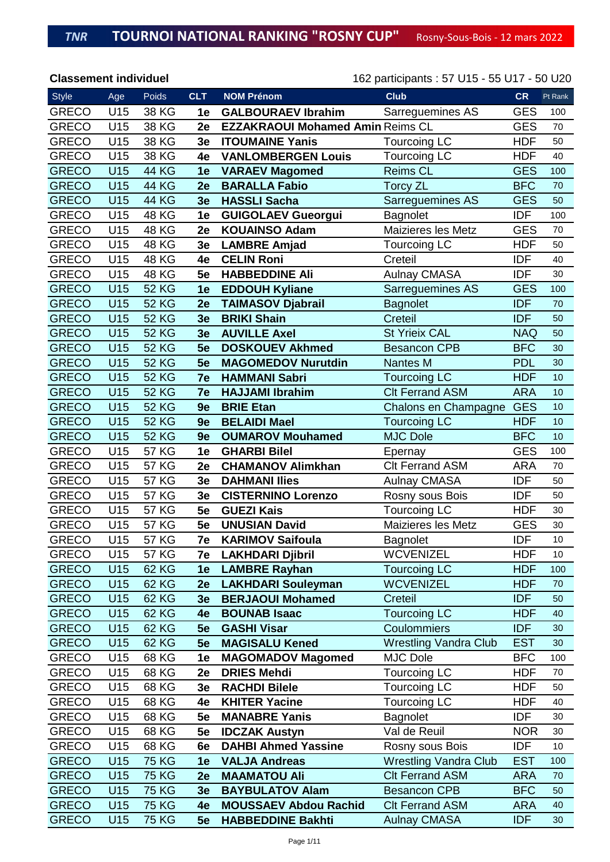| <b>Style</b> | Age | Poids        | <b>CLT</b>     | <b>NOM Prénom</b>                       | <b>Club</b>                  | <b>CR</b>  | Pt Rank |
|--------------|-----|--------------|----------------|-----------------------------------------|------------------------------|------------|---------|
| <b>GRECO</b> | U15 | 38 KG        | 1e             | <b>GALBOURAEV Ibrahim</b>               | Sarreguemines AS             | <b>GES</b> | 100     |
| <b>GRECO</b> | U15 | 38 KG        | 2e             | <b>EZZAKRAOUI Mohamed Amin Reims CL</b> |                              | <b>GES</b> | 70      |
| <b>GRECO</b> | U15 | 38 KG        | 3e             | <b>ITOUMAINE Yanis</b>                  | <b>Tourcoing LC</b>          | <b>HDF</b> | 50      |
| <b>GRECO</b> | U15 | 38 KG        | 4e             | <b>VANLOMBERGEN Louis</b>               | <b>Tourcoing LC</b>          | <b>HDF</b> | 40      |
| <b>GRECO</b> | U15 | <b>44 KG</b> | 1e             | <b>VARAEV Magomed</b>                   | <b>Reims CL</b>              | <b>GES</b> | 100     |
| <b>GRECO</b> | U15 | <b>44 KG</b> | 2e             | <b>BARALLA Fabio</b>                    | <b>Torcy ZL</b>              | <b>BFC</b> | 70      |
| <b>GRECO</b> | U15 | <b>44 KG</b> | 3e             | <b>HASSLI Sacha</b>                     | Sarreguemines AS             | <b>GES</b> | 50      |
| <b>GRECO</b> | U15 | <b>48 KG</b> | 1e             | <b>GUIGOLAEV Gueorgui</b>               | Bagnolet                     | <b>IDF</b> | 100     |
| <b>GRECO</b> | U15 | <b>48 KG</b> | 2e             | <b>KOUAINSO Adam</b>                    | <b>Maizieres les Metz</b>    | <b>GES</b> | 70      |
| <b>GRECO</b> | U15 | 48 KG        | 3e             | <b>LAMBRE Amjad</b>                     | <b>Tourcoing LC</b>          | <b>HDF</b> | 50      |
| <b>GRECO</b> | U15 | <b>48 KG</b> | 4e             | <b>CELIN Roni</b>                       | Creteil                      | <b>IDF</b> | 40      |
| <b>GRECO</b> | U15 | 48 KG        | 5e             | <b>HABBEDDINE Ali</b>                   | <b>Aulnay CMASA</b>          | <b>IDF</b> | 30      |
| <b>GRECO</b> | U15 | <b>52 KG</b> | 1e             | <b>EDDOUH Kyliane</b>                   | Sarreguemines AS             | <b>GES</b> | 100     |
| <b>GRECO</b> | U15 | <b>52 KG</b> | 2e             | <b>TAIMASOV Djabrail</b>                | <b>Bagnolet</b>              | <b>IDF</b> | 70      |
| <b>GRECO</b> | U15 | <b>52 KG</b> | 3e             | <b>BRIKI Shain</b>                      | Creteil                      | <b>IDF</b> | 50      |
| <b>GRECO</b> | U15 | <b>52 KG</b> | 3 <sub>e</sub> | <b>AUVILLE Axel</b>                     | <b>St Yrieix CAL</b>         | <b>NAQ</b> | 50      |
| <b>GRECO</b> | U15 | <b>52 KG</b> | 5e             | <b>DOSKOUEV Akhmed</b>                  | <b>Besancon CPB</b>          | <b>BFC</b> | 30      |
| <b>GRECO</b> | U15 | <b>52 KG</b> | 5e             | <b>MAGOMEDOV Nurutdin</b>               | <b>Nantes M</b>              | <b>PDL</b> | 30      |
| <b>GRECO</b> | U15 | <b>52 KG</b> | 7e             | <b>HAMMANI Sabri</b>                    | <b>Tourcoing LC</b>          | <b>HDF</b> | 10      |
| <b>GRECO</b> | U15 | <b>52 KG</b> | 7e             | <b>HAJJAMI Ibrahim</b>                  | <b>CIt Ferrand ASM</b>       | <b>ARA</b> | 10      |
| <b>GRECO</b> | U15 | <b>52 KG</b> | 9e             | <b>BRIE Etan</b>                        | Chalons en Champagne         | <b>GES</b> | 10      |
| <b>GRECO</b> | U15 | <b>52 KG</b> | 9e             | <b>BELAIDI Mael</b>                     | <b>Tourcoing LC</b>          | <b>HDF</b> | 10      |
| <b>GRECO</b> | U15 | <b>52 KG</b> | 9e             | <b>OUMAROV Mouhamed</b>                 | <b>MJC Dole</b>              | <b>BFC</b> | 10      |
| <b>GRECO</b> | U15 | <b>57 KG</b> | 1e             | <b>GHARBI Bilel</b>                     | Epernay                      | <b>GES</b> | 100     |
| <b>GRECO</b> | U15 | <b>57 KG</b> | 2e             | <b>CHAMANOV Alimkhan</b>                | <b>Clt Ferrand ASM</b>       | <b>ARA</b> | 70      |
| <b>GRECO</b> | U15 | <b>57 KG</b> | 3e             | <b>DAHMANI Ilies</b>                    | <b>Aulnay CMASA</b>          | <b>IDF</b> | 50      |
| <b>GRECO</b> | U15 | <b>57 KG</b> | 3e             | <b>CISTERNINO Lorenzo</b>               | Rosny sous Bois              | <b>IDF</b> | 50      |
| <b>GRECO</b> | U15 | <b>57 KG</b> | 5e             | <b>GUEZI Kais</b>                       | <b>Tourcoing LC</b>          | <b>HDF</b> | 30      |
| <b>GRECO</b> | U15 | <b>57 KG</b> | 5e             | <b>UNUSIAN David</b>                    | <b>Maizieres les Metz</b>    | <b>GES</b> | 30      |
| <b>GRECO</b> | U15 | <b>57 KG</b> | 7e             | <b>KARIMOV Saifoula</b>                 | Bagnolet                     | <b>IDF</b> | 10      |
| <b>GRECO</b> | U15 | <b>57 KG</b> | 7e             | <b>LAKHDARI Djibril</b>                 | <b>WCVENIZEL</b>             | <b>HDF</b> | 10      |
| <b>GRECO</b> | U15 | 62 KG        | 1e             | <b>LAMBRE Rayhan</b>                    | <b>Tourcoing LC</b>          | <b>HDF</b> | 100     |
| <b>GRECO</b> | U15 | 62 KG        | 2e             | <b>LAKHDARI Souleyman</b>               | <b>WCVENIZEL</b>             | <b>HDF</b> | 70      |
| <b>GRECO</b> | U15 | 62 KG        | 3 <sub>e</sub> | <b>BERJAOUI Mohamed</b>                 | Creteil                      | <b>IDF</b> | 50      |
| <b>GRECO</b> | U15 | 62 KG        | 4e             | <b>BOUNAB Isaac</b>                     | <b>Tourcoing LC</b>          | <b>HDF</b> | 40      |
| <b>GRECO</b> | U15 | 62 KG        | 5e             | <b>GASHI Visar</b>                      | Coulommiers                  | <b>IDF</b> | 30      |
| <b>GRECO</b> | U15 | 62 KG        | 5e             | <b>MAGISALU Kened</b>                   | <b>Wrestling Vandra Club</b> | <b>EST</b> | 30      |
| <b>GRECO</b> | U15 | 68 KG        | 1e             | <b>MAGOMADOV Magomed</b>                | MJC Dole                     | <b>BFC</b> | 100     |
| <b>GRECO</b> | U15 | 68 KG        | 2e             | <b>DRIES Mehdi</b>                      | <b>Tourcoing LC</b>          | <b>HDF</b> | 70      |
| <b>GRECO</b> | U15 | 68 KG        | 3e             | <b>RACHDI Bilele</b>                    | <b>Tourcoing LC</b>          | <b>HDF</b> | 50      |
| <b>GRECO</b> | U15 | 68 KG        | 4e             | <b>KHITER Yacine</b>                    | <b>Tourcoing LC</b>          | <b>HDF</b> | 40      |
| <b>GRECO</b> | U15 | 68 KG        | 5e             | <b>MANABRE Yanis</b>                    | <b>Bagnolet</b>              | <b>IDF</b> | 30      |
| <b>GRECO</b> | U15 | 68 KG        | 5e             | <b>IDCZAK Austyn</b>                    | Val de Reuil                 | <b>NOR</b> | 30      |
| <b>GRECO</b> | U15 | 68 KG        | 6e             | <b>DAHBI Ahmed Yassine</b>              | Rosny sous Bois              | <b>IDF</b> | 10      |
| <b>GRECO</b> | U15 | <b>75 KG</b> | 1e             | <b>VALJA Andreas</b>                    | <b>Wrestling Vandra Club</b> | <b>EST</b> | 100     |
| <b>GRECO</b> | U15 | <b>75 KG</b> | 2e             | <b>MAAMATOU Ali</b>                     | <b>CIt Ferrand ASM</b>       | <b>ARA</b> | 70      |
| <b>GRECO</b> | U15 | <b>75 KG</b> | 3e             | <b>BAYBULATOV Alam</b>                  | <b>Besancon CPB</b>          | <b>BFC</b> | 50      |
| <b>GRECO</b> | U15 | <b>75 KG</b> | 4e             | <b>MOUSSAEV Abdou Rachid</b>            | <b>Clt Ferrand ASM</b>       | <b>ARA</b> | 40      |
| <b>GRECO</b> | U15 | <b>75 KG</b> | 5e             | <b>HABBEDDINE Bakhti</b>                | <b>Aulnay CMASA</b>          | <b>IDF</b> | 30      |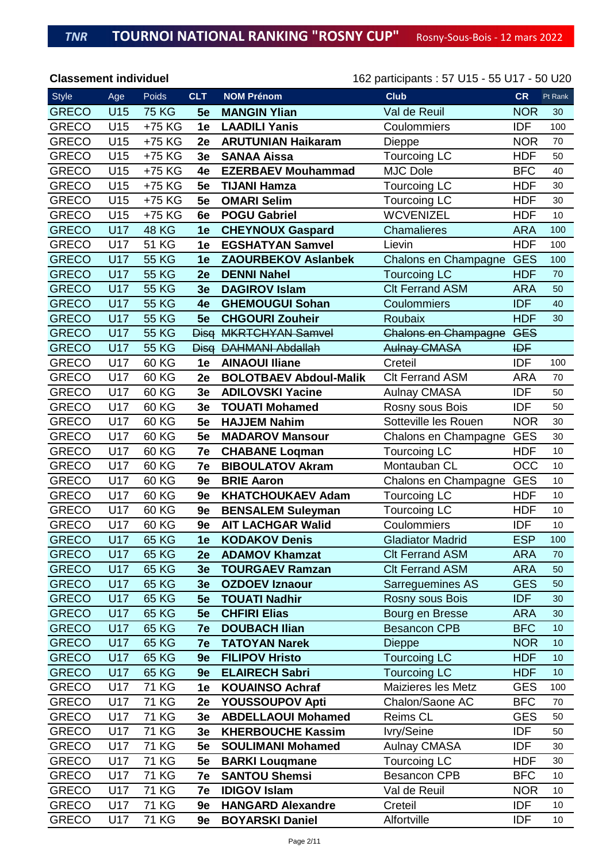| <b>Style</b> | Age        | Poids        | <b>CLT</b>     | <b>NOM Prénom</b>             | <b>Club</b>                 | <b>CR</b>  | Pt Rank |
|--------------|------------|--------------|----------------|-------------------------------|-----------------------------|------------|---------|
| <b>GRECO</b> | U15        | <b>75 KG</b> | 5e             | <b>MANGIN Ylian</b>           | Val de Reuil                | <b>NOR</b> | 30      |
| <b>GRECO</b> | U15        | +75 KG       | 1e             | <b>LAADILI Yanis</b>          | Coulommiers                 | <b>IDF</b> | 100     |
| <b>GRECO</b> | U15        | +75 KG       | 2e             | <b>ARUTUNIAN Haikaram</b>     | Dieppe                      | <b>NOR</b> | 70      |
| <b>GRECO</b> | U15        | +75 KG       | 3e             | <b>SANAA Aissa</b>            | <b>Tourcoing LC</b>         | <b>HDF</b> | 50      |
| <b>GRECO</b> | U15        | +75 KG       | 4e             | <b>EZERBAEV Mouhammad</b>     | <b>MJC Dole</b>             | <b>BFC</b> | 40      |
| <b>GRECO</b> | U15        | +75 KG       | 5e             | <b>TIJANI Hamza</b>           | <b>Tourcoing LC</b>         | <b>HDF</b> | 30      |
| <b>GRECO</b> | U15        | +75 KG       | 5e             | <b>OMARI Selim</b>            | <b>Tourcoing LC</b>         | <b>HDF</b> | 30      |
| <b>GRECO</b> | U15        | +75 KG       | 6e             | <b>POGU Gabriel</b>           | <b>WCVENIZEL</b>            | <b>HDF</b> | 10      |
| <b>GRECO</b> | U17        | <b>48 KG</b> | 1e             | <b>CHEYNOUX Gaspard</b>       | <b>Chamalieres</b>          | <b>ARA</b> | 100     |
| <b>GRECO</b> | U17        | <b>51 KG</b> | 1e             | <b>EGSHATYAN Samvel</b>       | Lievin                      | <b>HDF</b> | 100     |
| <b>GRECO</b> | <b>U17</b> | <b>55 KG</b> | 1e             | <b>ZAOURBEKOV Aslanbek</b>    | Chalons en Champagne        | <b>GES</b> | 100     |
| <b>GRECO</b> | <b>U17</b> | <b>55 KG</b> | 2e             | <b>DENNI Nahel</b>            | <b>Tourcoing LC</b>         | <b>HDF</b> | 70      |
| <b>GRECO</b> | <b>U17</b> | <b>55 KG</b> | 3e             | <b>DAGIROV Islam</b>          | <b>Clt Ferrand ASM</b>      | <b>ARA</b> | 50      |
| <b>GRECO</b> | U17        | <b>55 KG</b> | 4e             | <b>GHEMOUGUI Sohan</b>        | Coulommiers                 | <b>IDF</b> | 40      |
| <b>GRECO</b> | U17        | <b>55 KG</b> | 5e             | <b>CHGOURI Zouheir</b>        | Roubaix                     | <b>HDF</b> | 30      |
| <b>GRECO</b> | <b>U17</b> | <b>55 KG</b> | <b>Disg</b>    | <b>MKRTCHYAN Samvel</b>       | <b>Chalons en Champagne</b> | <b>GES</b> |         |
| <b>GRECO</b> | <b>U17</b> | <b>55 KG</b> | <b>Disg</b>    | <b>DAHMANI Abdallah</b>       | <b>Aulnay CMASA</b>         | <b>IDF</b> |         |
| <b>GRECO</b> | U17        | 60 KG        | 1e             | <b>AINAOUI Iliane</b>         | Creteil                     | <b>IDF</b> | 100     |
| <b>GRECO</b> | U17        | 60 KG        | 2e             | <b>BOLOTBAEV Abdoul-Malik</b> | <b>Clt Ferrand ASM</b>      | <b>ARA</b> | 70      |
| <b>GRECO</b> | U17        | 60 KG        | 3e             | <b>ADILOVSKI Yacine</b>       | <b>Aulnay CMASA</b>         | <b>IDF</b> | 50      |
| <b>GRECO</b> | U17        | 60 KG        | 3e             | <b>TOUATI Mohamed</b>         | Rosny sous Bois             | <b>IDF</b> | 50      |
| <b>GRECO</b> | U17        | 60 KG        | 5e             | <b>HAJJEM Nahim</b>           | Sotteville les Rouen        | <b>NOR</b> | 30      |
| <b>GRECO</b> | U17        | 60 KG        | 5e             | <b>MADAROV Mansour</b>        | Chalons en Champagne        | <b>GES</b> | 30      |
| <b>GRECO</b> | U17        | 60 KG        | 7e             | <b>CHABANE Logman</b>         | <b>Tourcoing LC</b>         | <b>HDF</b> | 10      |
| <b>GRECO</b> | U17        | 60 KG        | 7e             | <b>BIBOULATOV Akram</b>       | Montauban CL                | OCC        | 10      |
| <b>GRECO</b> | U17        | 60 KG        | 9e             | <b>BRIE Aaron</b>             | Chalons en Champagne        | <b>GES</b> | 10      |
| <b>GRECO</b> | U17        | 60 KG        | 9e             | <b>KHATCHOUKAEV Adam</b>      | Tourcoing LC                | <b>HDF</b> | 10      |
| <b>GRECO</b> | U17        | 60 KG        | 9e             | <b>BENSALEM Suleyman</b>      | <b>Tourcoing LC</b>         | <b>HDF</b> | 10      |
| <b>GRECO</b> | U17        | 60 KG        | 9e             | <b>AIT LACHGAR Walid</b>      | Coulommiers                 | <b>IDF</b> | 10      |
| <b>GRECO</b> | U17        | 65 KG        | 1e             | <b>KODAKOV Denis</b>          | <b>Gladiator Madrid</b>     | <b>ESP</b> | 100     |
| <b>GRECO</b> | U17        | <b>65 KG</b> | 2e             | <b>ADAMOV Khamzat</b>         | <b>CIt Ferrand ASM</b>      | <b>ARA</b> | 70      |
| <b>GRECO</b> | U17        | 65 KG        | 3e             | <b>TOURGAEV Ramzan</b>        | <b>CIt Ferrand ASM</b>      | <b>ARA</b> | 50      |
| <b>GRECO</b> | U17        | 65 KG        | 3 <sub>e</sub> | <b>OZDOEV Iznaour</b>         | Sarreguemines AS            | <b>GES</b> | 50      |
| <b>GRECO</b> | U17        | 65 KG        | 5e             | <b>TOUATI Nadhir</b>          | <b>Rosny sous Bois</b>      | <b>IDF</b> | 30      |
| <b>GRECO</b> | U17        | 65 KG        | 5e             | <b>CHFIRI Elias</b>           | Bourg en Bresse             | <b>ARA</b> | 30      |
| <b>GRECO</b> | U17        | 65 KG        | 7e             | <b>DOUBACH Ilian</b>          | <b>Besancon CPB</b>         | <b>BFC</b> | 10      |
| <b>GRECO</b> | U17        | 65 KG        | 7e             | <b>TATOYAN Narek</b>          | Dieppe                      | <b>NOR</b> | 10      |
| <b>GRECO</b> | U17        | 65 KG        | 9e             | <b>FILIPOV Hristo</b>         | <b>Tourcoing LC</b>         | <b>HDF</b> | 10      |
| <b>GRECO</b> | U17        | 65 KG        | 9e             | <b>ELAIRECH Sabri</b>         | <b>Tourcoing LC</b>         | <b>HDF</b> | 10      |
| <b>GRECO</b> | U17        | 71 KG        | 1e             | <b>KOUAINSO Achraf</b>        | Maizieres les Metz          | <b>GES</b> | 100     |
| <b>GRECO</b> | U17        | <b>71 KG</b> | 2e             | <b>YOUSSOUPOV Apti</b>        | Chalon/Saone AC             | <b>BFC</b> | 70      |
| <b>GRECO</b> | U17        | <b>71 KG</b> | 3e             | <b>ABDELLAOUI Mohamed</b>     | <b>Reims CL</b>             | <b>GES</b> | 50      |
| <b>GRECO</b> | U17        | <b>71 KG</b> | 3e             | <b>KHERBOUCHE Kassim</b>      | Ivry/Seine                  | <b>IDF</b> | 50      |
| <b>GRECO</b> | U17        | 71 KG        | 5e             | <b>SOULIMANI Mohamed</b>      | <b>Aulnay CMASA</b>         | <b>IDF</b> | 30      |
| <b>GRECO</b> | U17        | 71 KG        | 5e             | <b>BARKI Lougmane</b>         | <b>Tourcoing LC</b>         | <b>HDF</b> | 30      |
| <b>GRECO</b> | U17        | <b>71 KG</b> | 7e             | <b>SANTOU Shemsi</b>          | <b>Besancon CPB</b>         | <b>BFC</b> | 10      |
| <b>GRECO</b> | U17        | <b>71 KG</b> | 7e             | <b>IDIGOV Islam</b>           | Val de Reuil                | <b>NOR</b> | 10      |
| <b>GRECO</b> | U17        | 71 KG        | 9e             | <b>HANGARD Alexandre</b>      | Creteil                     | <b>IDF</b> | 10      |
| <b>GRECO</b> | U17        | <b>71 KG</b> | 9e             | <b>BOYARSKI Daniel</b>        | Alfortville                 | <b>IDF</b> | 10      |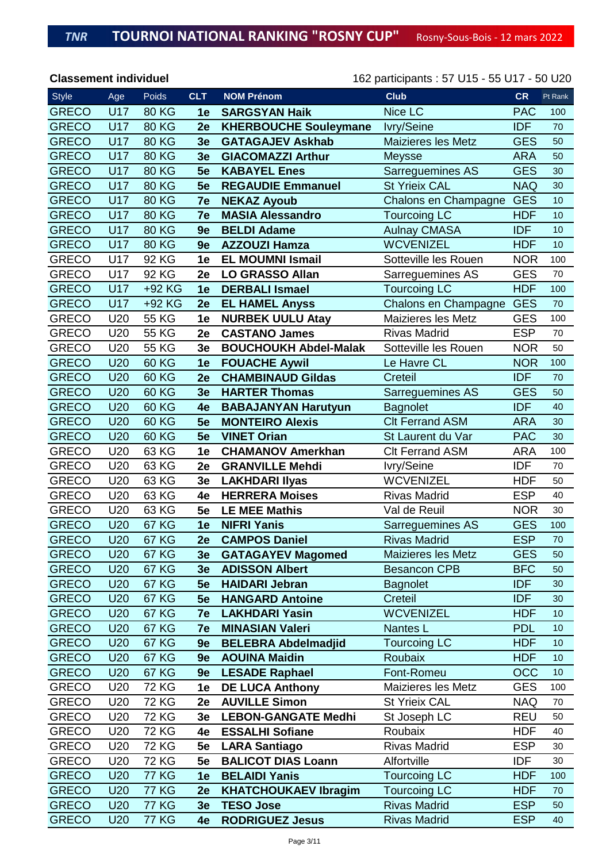| <b>Style</b> | Age             | Poids        | <b>CLT</b>     | <b>NOM Prénom</b>            | <b>Club</b>               | <b>CR</b>  | Pt Rank |
|--------------|-----------------|--------------|----------------|------------------------------|---------------------------|------------|---------|
| <b>GRECO</b> | U17             | <b>80 KG</b> | 1e             | <b>SARGSYAN Haik</b>         | Nice LC                   | <b>PAC</b> | 100     |
| <b>GRECO</b> | <b>U17</b>      | <b>80 KG</b> | 2e             | <b>KHERBOUCHE Souleymane</b> | Ivry/Seine                | <b>IDF</b> | 70      |
| <b>GRECO</b> | U17             | <b>80 KG</b> | 3e             | <b>GATAGAJEV Askhab</b>      | <b>Maizieres les Metz</b> | <b>GES</b> | 50      |
| <b>GRECO</b> | <b>U17</b>      | <b>80 KG</b> | 3e             | <b>GIACOMAZZI Arthur</b>     | <b>Meysse</b>             | <b>ARA</b> | 50      |
| <b>GRECO</b> | <b>U17</b>      | <b>80 KG</b> | 5e             | <b>KABAYEL Enes</b>          | Sarreguemines AS          | <b>GES</b> | 30      |
| <b>GRECO</b> | <b>U17</b>      | <b>80 KG</b> | 5e             | <b>REGAUDIE Emmanuel</b>     | <b>St Yrieix CAL</b>      | <b>NAQ</b> | 30      |
| <b>GRECO</b> | <b>U17</b>      | <b>80 KG</b> | 7e             | <b>NEKAZ Ayoub</b>           | Chalons en Champagne      | <b>GES</b> | 10      |
| <b>GRECO</b> | U17             | <b>80 KG</b> | 7e             | <b>MASIA Alessandro</b>      | <b>Tourcoing LC</b>       | <b>HDF</b> | 10      |
| <b>GRECO</b> | <b>U17</b>      | <b>80 KG</b> | 9e             | <b>BELDI Adame</b>           | <b>Aulnay CMASA</b>       | <b>IDF</b> | 10      |
| <b>GRECO</b> | <b>U17</b>      | <b>80 KG</b> | 9e             | <b>AZZOUZI Hamza</b>         | <b>WCVENIZEL</b>          | <b>HDF</b> | 10      |
| <b>GRECO</b> | U17             | 92 KG        | 1e             | <b>EL MOUMNI Ismail</b>      | Sotteville les Rouen      | <b>NOR</b> | 100     |
| <b>GRECO</b> | U17             | 92 KG        | 2e             | <b>LO GRASSO Allan</b>       | Sarreguemines AS          | <b>GES</b> | 70      |
| <b>GRECO</b> | U17             | +92 KG       | 1e             | <b>DERBALI Ismael</b>        | <b>Tourcoing LC</b>       | <b>HDF</b> | 100     |
| <b>GRECO</b> | <b>U17</b>      | +92 KG       | 2e             | <b>EL HAMEL Anyss</b>        | Chalons en Champagne      | <b>GES</b> | 70      |
| <b>GRECO</b> | U20             | 55 KG        | 1e             | <b>NURBEK UULU Atay</b>      | <b>Maizieres les Metz</b> | <b>GES</b> | 100     |
| <b>GRECO</b> | U20             | 55 KG        | 2e             | <b>CASTANO James</b>         | <b>Rivas Madrid</b>       | <b>ESP</b> | 70      |
| <b>GRECO</b> | U20             | 55 KG        | 3e             | <b>BOUCHOUKH Abdel-Malak</b> | Sotteville les Rouen      | <b>NOR</b> | 50      |
| <b>GRECO</b> | U20             | 60 KG        | 1e             | <b>FOUACHE Aywil</b>         | Le Havre CL               | <b>NOR</b> | 100     |
| <b>GRECO</b> | U20             | 60 KG        | 2e             | <b>CHAMBINAUD Gildas</b>     | Creteil                   | <b>IDF</b> | 70      |
| <b>GRECO</b> | U20             | 60 KG        | 3 <sub>e</sub> | <b>HARTER Thomas</b>         | Sarreguemines AS          | <b>GES</b> | 50      |
| <b>GRECO</b> | U20             | <b>60 KG</b> | 4e             | <b>BABAJANYAN Harutyun</b>   | <b>Bagnolet</b>           | <b>IDF</b> | 40      |
| <b>GRECO</b> | U20             | <b>60 KG</b> | 5e             | <b>MONTEIRO Alexis</b>       | <b>Clt Ferrand ASM</b>    | <b>ARA</b> | 30      |
| <b>GRECO</b> | U20             | 60 KG        | 5e             | <b>VINET Orian</b>           | St Laurent du Var         | <b>PAC</b> | 30      |
| <b>GRECO</b> | U20             | 63 KG        | 1e             | <b>CHAMANOV Amerkhan</b>     | <b>CIt Ferrand ASM</b>    | <b>ARA</b> | 100     |
| <b>GRECO</b> | U20             | 63 KG        | 2e             | <b>GRANVILLE Mehdi</b>       | Ivry/Seine                | <b>IDF</b> | 70      |
| <b>GRECO</b> | U20             | 63 KG        | 3e             | <b>LAKHDARI Ilyas</b>        | <b>WCVENIZEL</b>          | <b>HDF</b> | 50      |
| <b>GRECO</b> | U20             | 63 KG        | 4e             | <b>HERRERA Moises</b>        | <b>Rivas Madrid</b>       | <b>ESP</b> | 40      |
| <b>GRECO</b> | U20             | 63 KG        | 5e             | <b>LE MEE Mathis</b>         | Val de Reuil              | <b>NOR</b> | 30      |
| <b>GRECO</b> | U20             | <b>67 KG</b> | 1e             | <b>NIFRI Yanis</b>           | Sarreguemines AS          | <b>GES</b> | 100     |
| <b>GRECO</b> | U20             | <b>67 KG</b> | 2e             | <b>CAMPOS Daniel</b>         | <b>Rivas Madrid</b>       | <b>ESP</b> | 70      |
| <b>GRECO</b> | U20             | <b>67 KG</b> | 3e             | <b>GATAGAYEV Magomed</b>     | Maizieres les Metz        | <b>GES</b> | 50      |
| <b>GRECO</b> | U20             | <b>67 KG</b> | 3e             | <b>ADISSON Albert</b>        | <b>Besancon CPB</b>       | <b>BFC</b> | 50      |
| <b>GRECO</b> | U <sub>20</sub> | <b>67 KG</b> | 5e             | <b>HAIDARI Jebran</b>        | <b>Bagnolet</b>           | <b>IDF</b> | 30      |
| <b>GRECO</b> | U20             | <b>67 KG</b> | 5e             | <b>HANGARD Antoine</b>       | Creteil                   | <b>IDF</b> | 30      |
| <b>GRECO</b> | U20             | <b>67 KG</b> | 7e             | <b>LAKHDARI Yasin</b>        | <b>WCVENIZEL</b>          | <b>HDF</b> | 10      |
| <b>GRECO</b> | U20             | <b>67 KG</b> | 7e             | <b>MINASIAN Valeri</b>       | Nantes L                  | <b>PDL</b> | 10      |
| <b>GRECO</b> | U20             | <b>67 KG</b> | 9e             | <b>BELEBRA Abdelmadjid</b>   | <b>Tourcoing LC</b>       | <b>HDF</b> | 10      |
| <b>GRECO</b> | U20             | <b>67 KG</b> | 9e             | <b>AOUINA Maidin</b>         | Roubaix                   | <b>HDF</b> | 10      |
| <b>GRECO</b> | U20             | <b>67 KG</b> | 9e             | <b>LESADE Raphael</b>        | Font-Romeu                | <b>OCC</b> | 10      |
| <b>GRECO</b> | U20             | <b>72 KG</b> | 1e             | <b>DE LUCA Anthony</b>       | Maizieres les Metz        | <b>GES</b> | 100     |
| <b>GRECO</b> | U20             | <b>72 KG</b> | 2e             | <b>AUVILLE Simon</b>         | <b>St Yrieix CAL</b>      | <b>NAQ</b> | 70      |
| <b>GRECO</b> | U20             | <b>72 KG</b> | 3e             | <b>LEBON-GANGATE Medhi</b>   | St Joseph LC              | <b>REU</b> | 50      |
| <b>GRECO</b> | U20             | <b>72 KG</b> | 4e             | <b>ESSALHI Sofiane</b>       | Roubaix                   | <b>HDF</b> | 40      |
| <b>GRECO</b> | U20             | <b>72 KG</b> | 5e             | <b>LARA Santiago</b>         | <b>Rivas Madrid</b>       | <b>ESP</b> | 30      |
| <b>GRECO</b> | U20             | <b>72 KG</b> | 5e             | <b>BALICOT DIAS Loann</b>    | Alfortville               | <b>IDF</b> | 30      |
| <b>GRECO</b> | U20             | <b>77 KG</b> | 1e             | <b>BELAIDI Yanis</b>         | <b>Tourcoing LC</b>       | <b>HDF</b> | 100     |
| <b>GRECO</b> | U20             | <b>77 KG</b> | 2e             | <b>KHATCHOUKAEV Ibragim</b>  | <b>Tourcoing LC</b>       | <b>HDF</b> | 70      |
| <b>GRECO</b> | U20             | <b>77 KG</b> | 3e             | <b>TESO Jose</b>             | <b>Rivas Madrid</b>       | <b>ESP</b> | 50      |
| <b>GRECO</b> | U20             | <b>77 KG</b> | 4e             | <b>RODRIGUEZ Jesus</b>       | <b>Rivas Madrid</b>       | <b>ESP</b> | 40      |